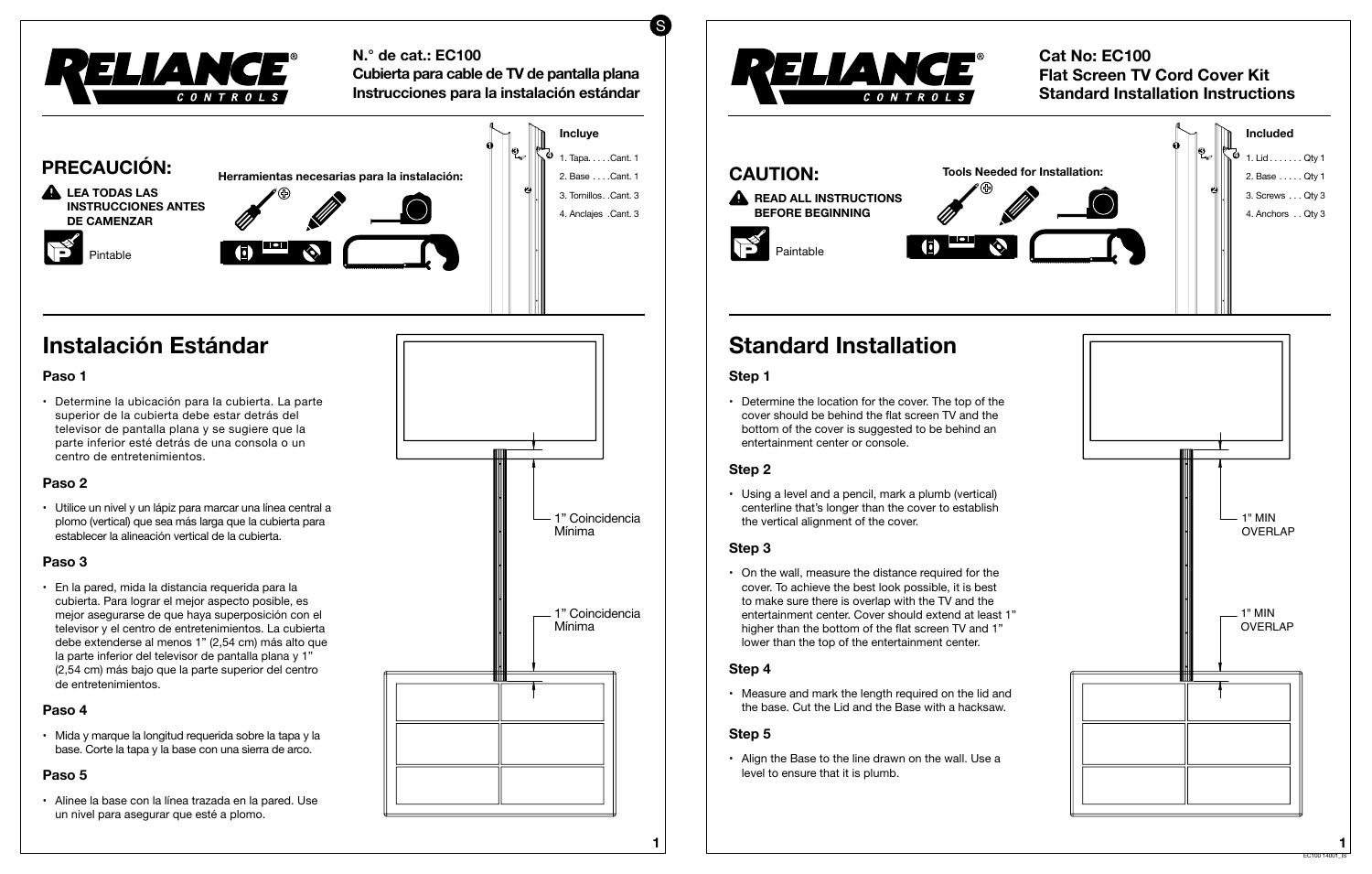### **Cat No: EC100 Flat Screen TV Cord Cover Kit Standard Installation Instructions**

# **Standard Installation**

#### **Step 1**

• Determine the location for the cover. The top of the cover should be behind the flat screen TV and the bottom of the cover is suggested to be behind an entertainment center or console.

#### **Step 2**

• On the wall, measure the distance required for the cover. To achieve the best look possible, it is best to make sure there is overlap with the TV and the entertainment center. Cover should extend at least 1" higher than the bottom of the flat screen TV and 1" lower than the top of the entertainment center.

• Using a level and a pencil, mark a plumb (vertical) centerline that's longer than the cover to establish the vertical alignment of the cover.

• Measure and mark the length required on the lid and the base. Cut the Lid and the Base with a hacksaw.

#### **Step 3**

• Align the Base to the line drawn on the wall. Use a level to ensure that it is plumb.

## **CAUTION: A** READ ALL INSTRUCTIONS **BEFORE BEGINNING Tools Needed for Installation:**  Paintable

#### **Step 4**

• Utilice un nivel y un lápiz para marcar una línea central a plomo (vertical) que sea más larga que la cubierta para establecer la alineación vertical de la cubierta.

#### **Step 5**





• Mida y marque la longitud requerida sobre la tapa y la base. Corte la tapa y la base con una sierra de arco.

• Alinee la base con la línea trazada en la pared. Use un nivel para asegurar que esté a plomo.



#### **N.° de cat.: EC100**

**Cubierta para cable de TV de pantalla plana Instrucciones para la instalación estándar**

# **Instalación Estándar**

#### **Paso 1**

• Determine la ubicación para la cubierta. La parte superior de la cubierta debe estar detrás del televisor de pantalla plana y se sugiere que la parte inferior esté detrás de una consola o un centro de entretenimientos.

#### **Paso 2**

#### **Paso 3**



• En la pared, mida la distancia requerida para la cubierta. Para lograr el mejor aspecto posible, es mejor asegurarse de que haya superposición con el televisor y el centro de entretenimientos. La cubierta debe extenderse al menos 1" (2,54 cm) más alto que la parte inferior del televisor de pantalla plana y 1" (2,54 cm) más bajo que la parte superior del centro de entretenimientos.

#### **Paso 4**

#### **Paso 5**





S